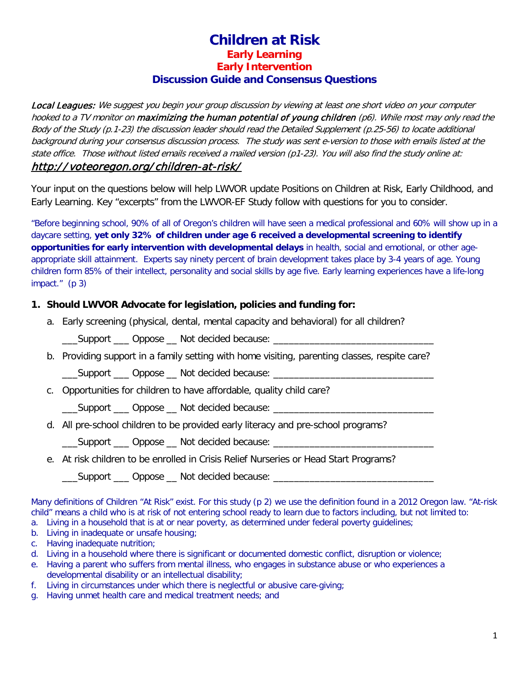## **Children at Risk Early Learning Early Intervention Discussion Guide and Consensus Questions**

Local Leagues: We suggest you begin your group discussion by viewing at least one short video on your computer hooked to a TV monitor on maximizing the human potential of young children (p6). While most may only read the Body of the Study (p.1-23) the discussion leader should read the Detailed Supplement (p.25-56) to locate additional background during your consensus discussion process. The study was sent e-version to those with emails listed at the state office. Those without listed emails received a mailed version (p1-23). You will also find the study online at: http:/ / [voteoregon.org/](http://voteoregon.org/children-at-risk/) children-at-risk/

Your input on the questions below will help LWVOR update Positions on Children at Risk, Early Childhood, and Early Learning. Key "excerpts" from the LWVOR-EF Study follow with questions for you to consider.

"Before beginning school, 90% of all of Oregon's children will have seen a medical professional and 60% will show up in a daycare setting, **yet only 32% of children under age 6 received a developmental screening to identify opportunities for early intervention with developmental delays** in health, social and emotional, or other ageappropriate skill attainment. Experts say ninety percent of brain development takes place by 3-4 years of age. Young children form 85% of their intellect, personality and social skills by age five. Early learning experiences have a life-long impact." (p 3)

## **1. Should LWVOR Advocate for legislation, policies and funding for:**

a. Early screening (physical, dental, mental capacity and behavioral) for all children?

Support \_\_\_ Oppose \_\_ Not decided because:

b. Providing support in a family setting with home visiting, parenting classes, respite care?

\_\_\_Support \_\_\_ Oppose \_\_ Not decided because: \_\_\_\_\_\_\_\_\_\_\_\_\_\_\_\_\_\_\_\_\_\_\_\_\_\_\_\_\_\_\_

c. Opportunities for children to have affordable, quality child care?

\_\_\_Support \_\_\_ Oppose \_\_ Not decided because: \_\_\_\_\_\_\_\_\_\_\_\_\_\_\_

d. All pre-school children to be provided early literacy and pre-school programs?

\_\_\_Support \_\_\_ Oppose \_\_ Not decided because: \_\_\_\_\_\_\_\_\_\_\_\_\_\_\_\_\_\_\_\_\_\_\_\_\_\_\_\_\_\_\_

e. At risk children to be enrolled in Crisis Relief Nurseries or Head Start Programs?

\_\_\_Support \_\_\_ Oppose \_\_ Not decided because: \_\_\_\_\_\_\_\_\_\_\_\_\_\_\_\_\_\_\_\_\_\_\_\_\_\_\_\_\_\_\_\_\_\_

Many definitions of Children "At Risk" exist. For this study (p 2) we use the definition found in a 2012 Oregon law. "At-risk child" means a child who is at risk of not entering school ready to learn due to factors including, but not limited to: a. Living in a household that is at or near poverty, as determined under federal poverty guidelines;

- b. Living in inadequate or unsafe housing;
- c. Having inadequate nutrition;
- d. Living in a household where there is significant or documented domestic conflict, disruption or violence;
- e. Having a parent who suffers from mental illness, who engages in substance abuse or who experiences a developmental disability or an intellectual disability;
- f. Living in circumstances under which there is neglectful or abusive care-giving;
- g. Having unmet health care and medical treatment needs; and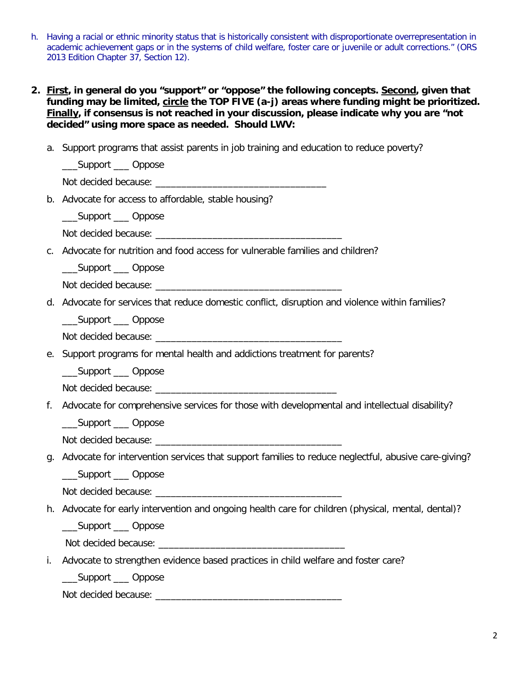- h. Having a racial or ethnic minority status that is historically consistent with disproportionate overrepresentation in academic achievement gaps or in the systems of child welfare, foster care or juvenile or adult corrections." (ORS 2013 Edition Chapter 37, Section 12).
- **2. First, in general do you "support" or "oppose" the following concepts. Second, given that funding may be limited, circle the TOP FIVE (a-j) areas where funding might be prioritized. Finally, if consensus is not reached in your discussion, please indicate why you are "not decided" using more space as needed. Should LWV:**
	- a. Support programs that assist parents in job training and education to reduce poverty?

\_\_\_Support \_\_\_ Oppose

Not decided because: \_\_\_\_\_\_\_\_\_\_\_\_\_\_\_\_\_\_\_\_\_\_\_\_\_\_\_\_\_\_\_\_\_

b. Advocate for access to affordable, stable housing?

\_\_\_Support \_\_\_ Oppose

- Not decided because: \_\_\_\_\_\_\_\_\_\_\_\_\_\_\_\_\_\_\_\_\_\_\_\_\_\_\_\_\_\_\_\_\_\_\_\_
- c. Advocate for nutrition and food access for vulnerable families and children?

\_\_\_Support \_\_\_ Oppose

Not decided because: \_\_\_\_\_\_\_\_\_\_\_\_\_\_\_\_\_\_\_\_\_\_\_\_\_\_\_\_\_\_\_\_\_\_\_\_

d. Advocate for services that reduce domestic conflict, disruption and violence within families?

\_\_\_Support \_\_\_ Oppose

Not decided because: \_\_\_\_\_\_\_\_\_\_\_\_\_\_\_\_\_\_\_\_\_\_\_\_\_\_\_\_\_\_\_\_\_\_\_\_

e. Support programs for mental health and addictions treatment for parents?

\_\_\_Support \_\_\_ Oppose

Not decided because: \_\_\_\_\_\_\_\_\_\_\_\_\_\_\_\_\_\_\_\_\_\_\_\_\_\_\_\_\_\_\_\_\_\_\_

f. Advocate for comprehensive services for those with developmental and intellectual disability?

\_\_\_Support \_\_\_ Oppose

Not decided because: \_\_\_\_\_\_\_\_\_\_\_\_\_\_\_\_\_\_\_\_\_\_\_\_\_\_\_\_\_\_\_\_\_\_\_\_

g. Advocate for intervention services that support families to reduce neglectful, abusive care-giving?

\_\_\_Support \_\_\_ Oppose

Not decided because: \_\_\_\_\_\_\_\_\_\_\_\_\_\_\_\_\_\_\_\_\_\_\_\_\_\_\_\_\_\_\_\_\_\_\_\_

h. Advocate for early intervention and ongoing health care for children (physical, mental, dental)?

\_\_\_Support \_\_\_ Oppose

Not decided because: \_\_\_\_\_\_\_\_\_\_\_\_\_\_\_\_\_\_\_\_\_\_\_\_\_\_\_\_\_\_\_\_\_\_\_\_

i. Advocate to strengthen evidence based practices in child welfare and foster care?

\_\_\_Support \_\_\_ Oppose

Not decided because: \_\_\_\_\_\_\_\_\_\_\_\_\_\_\_\_\_\_\_\_\_\_\_\_\_\_\_\_\_\_\_\_\_\_\_\_